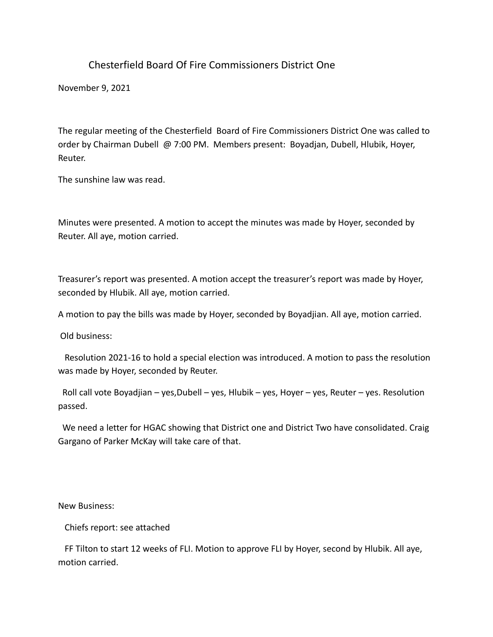## Chesterfield Board Of Fire Commissioners District One

November 9, 2021

The regular meeting of the Chesterfield Board of Fire Commissioners District One was called to order by Chairman Dubell @ 7:00 PM. Members present: Boyadjan, Dubell, Hlubik, Hoyer, Reuter.

The sunshine law was read.

Minutes were presented. A motion to accept the minutes was made by Hoyer, seconded by Reuter. All aye, motion carried.

Treasurer's report was presented. A motion accept the treasurer's report was made by Hoyer, seconded by Hlubik. All aye, motion carried.

A motion to pay the bills was made by Hoyer, seconded by Boyadjian. All aye, motion carried.

Old business:

 Resolution 2021-16 to hold a special election was introduced. A motion to pass the resolution was made by Hoyer, seconded by Reuter.

 Roll call vote Boyadjian – yes,Dubell – yes, Hlubik – yes, Hoyer – yes, Reuter – yes. Resolution passed.

 We need a letter for HGAC showing that District one and District Two have consolidated. Craig Gargano of Parker McKay will take care of that.

New Business:

Chiefs report: see attached

 FF Tilton to start 12 weeks of FLI. Motion to approve FLI by Hoyer, second by Hlubik. All aye, motion carried.